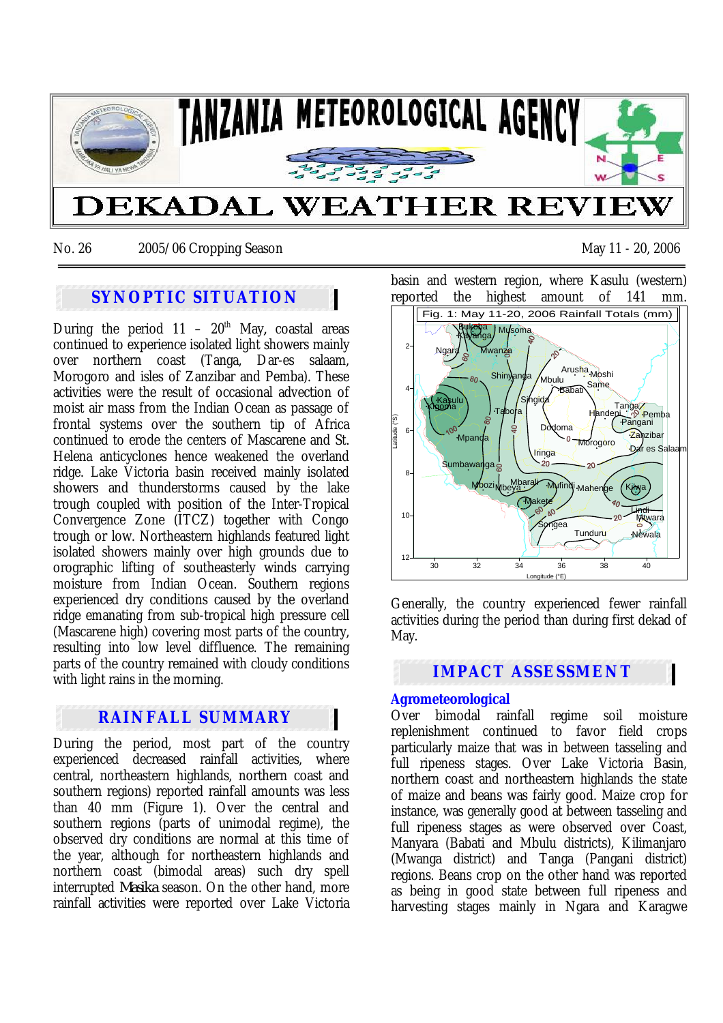

No. 26 2005/06 Cropping Season May 11 - 20, 2006

# **SYNOPTIC SITUATION**

During the period  $11 - 20$ <sup>th</sup> May, coastal areas continued to experience isolated light showers mainly over northern coast (Tanga, Dar-es salaam, Morogoro and isles of Zanzibar and Pemba). These activities were the result of occasional advection of moist air mass from the Indian Ocean as passage of frontal systems over the southern tip of Africa continued to erode the centers of Mascarene and St. Helena anticyclones hence weakened the overland ridge. Lake Victoria basin received mainly isolated showers and thunderstorms caused by the lake trough coupled with position of the Inter-Tropical Convergence Zone (ITCZ) together with Congo trough or low. Northeastern highlands featured light isolated showers mainly over high grounds due to orographic lifting of southeasterly winds carrying moisture from Indian Ocean. Southern regions experienced dry conditions caused by the overland ridge emanating from sub-tropical high pressure cell (Mascarene high) covering most parts of the country, resulting into low level diffluence. The remaining parts of the country remained with cloudy conditions with light rains in the morning.

## **RAINFALL SUMMARY**

During the period, most part of the country experienced decreased rainfall activities, where central, northeastern highlands, northern coast and southern regions) reported rainfall amounts was less than 40 mm (Figure 1). Over the central and southern regions (parts of unimodal regime), the observed dry conditions are normal at this time of the year, although for northeastern highlands and northern coast (bimodal areas) such dry spell interrupted *Masika* season. On the other hand, more rainfall activities were reported over Lake Victoria

basin and western region, where Kasulu (western) reported the highest amount of 141 mm.



Generally, the country experienced fewer rainfall activities during the period than during first dekad of May.

## **IMPACT ASSESSMENT**

### **Agrometeorological**

Over bimodal rainfall regime soil moisture replenishment continued to favor field crops particularly maize that was in between tasseling and full ripeness stages. Over Lake Victoria Basin, northern coast and northeastern highlands the state of maize and beans was fairly good. Maize crop for instance, was generally good at between tasseling and full ripeness stages as were observed over Coast, Manyara (Babati and Mbulu districts), Kilimanjaro (Mwanga district) and Tanga (Pangani district) regions. Beans crop on the other hand was reported as being in good state between full ripeness and harvesting stages mainly in Ngara and Karagwe